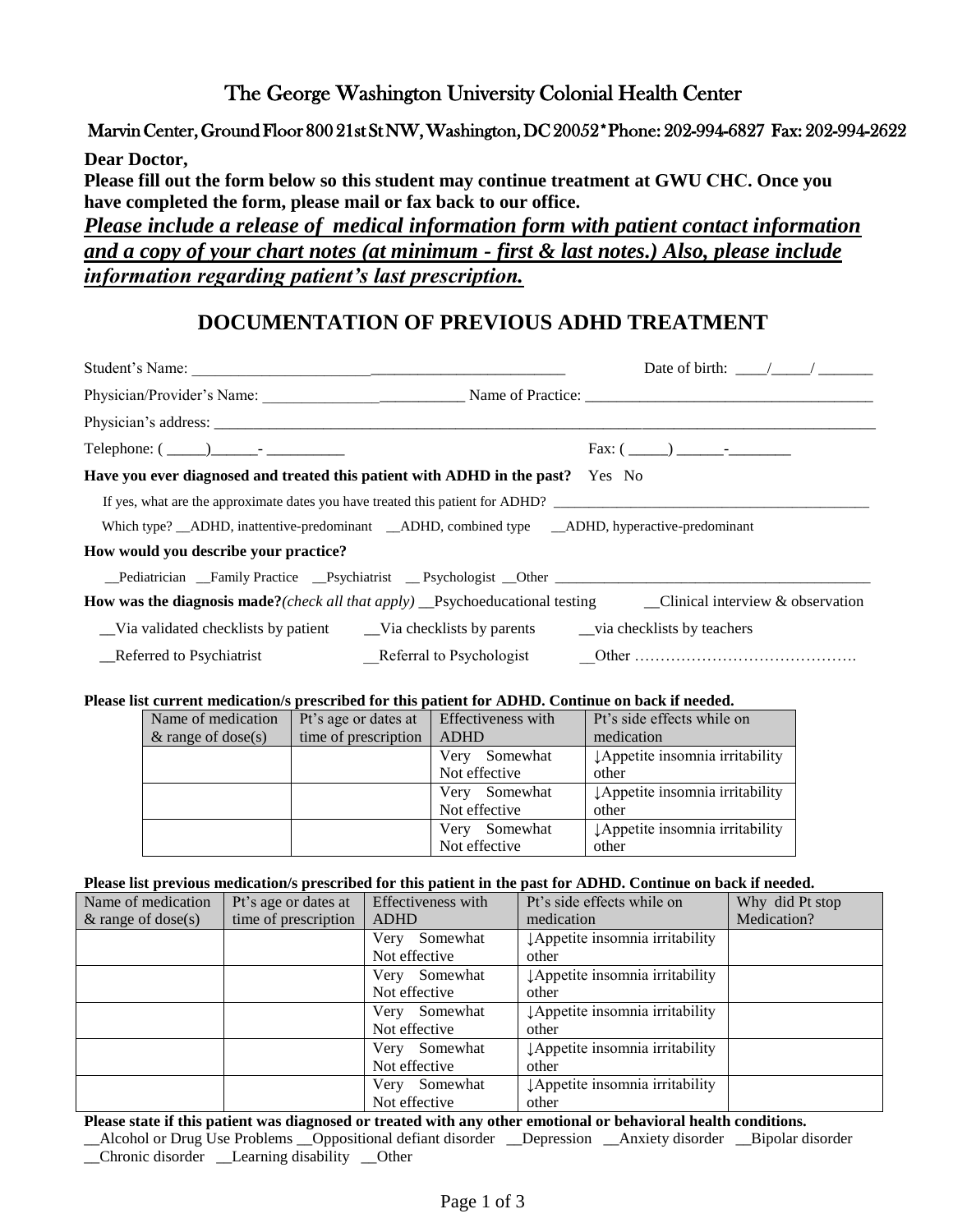# The George Washington University Colonial Health Center

# Marvin Center, Ground Floor 800 21st St NW, Washington, DC 20052\*Phone: 202-994-6827 Fax: 202-994-2622

**Dear Doctor, Please fill out the form below so this student may continue treatment at GWU CHC. Once you have completed the form, please mail or fax back to our office.**  *Please include a release of medical information form with patient contact information and a copy of your chart notes (at minimum - first & last notes.) Also, please include information regarding patient's last prescription.*

# **DOCUMENTATION OF PREVIOUS ADHD TREATMENT**

|                                                                                                      | Date of birth: $\frac{1}{2}$ / $\frac{1}{2}$                                                                                                                                                                                   |
|------------------------------------------------------------------------------------------------------|--------------------------------------------------------------------------------------------------------------------------------------------------------------------------------------------------------------------------------|
|                                                                                                      |                                                                                                                                                                                                                                |
|                                                                                                      |                                                                                                                                                                                                                                |
| Telephone: $(\_\_)\_\_$ - $\_\_$ - $\_\_$                                                            |                                                                                                                                                                                                                                |
| Have you ever diagnosed and treated this patient with ADHD in the past? Yes No                       |                                                                                                                                                                                                                                |
| If yes, what are the approximate dates you have treated this patient for ADHD?                       |                                                                                                                                                                                                                                |
| Which type? _ADHD, inattentive-predominant _ADHD, combined type _ADHD, hyperactive-predominant       |                                                                                                                                                                                                                                |
| How would you describe your practice?                                                                |                                                                                                                                                                                                                                |
| _Pediatrician _Family Practice __Psychiatrist __Psychologist __Other _______________________________ |                                                                                                                                                                                                                                |
|                                                                                                      | <b>How was the diagnosis made?</b> ( <i>check all that apply</i> ) Psychoeducational testing Clinical interview & observation                                                                                                  |
|                                                                                                      |                                                                                                                                                                                                                                |
| Referred to Psychiatrist                                                                             | Referral to Psychologist Cher Communication Chern Chern Chern Chern Chern Chern Chern Chern Chern Chern Chern Chern Chern Chern Chern Chern Chern Chern Chern Chern Chern Chern Chern Chern Chern Chern Chern Chern Chern Cher |

## **Please list current medication/s prescribed for this patient for ADHD. Continue on back if needed.**

| Name of medication    | Pt's age or dates at | Effectiveness with | Pt's side effects while on                  |
|-----------------------|----------------------|--------------------|---------------------------------------------|
| $\&$ range of dose(s) | time of prescription | <b>ADHD</b>        | medication                                  |
|                       |                      | Somewhat<br>Very   | $\downarrow$ Appetite insomnia irritability |
|                       |                      | Not effective      | other                                       |
|                       |                      | Somewhat<br>Very   | ↓ Appetite insomnia irritability            |
|                       |                      | Not effective      | other                                       |
|                       |                      | Somewhat<br>Very   | ↓ Appetite insomnia irritability            |
|                       |                      | Not effective      | other                                       |

## **Please list previous medication/s prescribed for this patient in the past for ADHD. Continue on back if needed.**

|                       |                      |                    | т как то респользования постоянно ресколько тог что райсти не нас разстот територ социнце он васил неколо |                 |
|-----------------------|----------------------|--------------------|-----------------------------------------------------------------------------------------------------------|-----------------|
| Name of medication    | Pt's age or dates at | Effectiveness with | Pt's side effects while on                                                                                | Why did Pt stop |
| $\&$ range of dose(s) | time of prescription | ADHD               | medication                                                                                                | Medication?     |
|                       |                      | Somewhat<br>Very   | LAppetite insomnia irritability                                                                           |                 |
|                       |                      | Not effective      | other                                                                                                     |                 |
|                       |                      | Very Somewhat      | LAppetite insomnia irritability                                                                           |                 |
|                       |                      | Not effective      | other                                                                                                     |                 |
|                       |                      | Very Somewhat      | LAppetite insomnia irritability                                                                           |                 |
|                       |                      | Not effective      | other                                                                                                     |                 |
|                       |                      | Very Somewhat      | ¿Appetite insomnia irritability                                                                           |                 |
|                       |                      | Not effective      | other                                                                                                     |                 |
|                       |                      | Very Somewhat      | LAppetite insomnia irritability                                                                           |                 |
|                       |                      | Not effective      | other                                                                                                     |                 |

**Please state if this patient was diagnosed or treated with any other emotional or behavioral health conditions.**  \_\_Alcohol or Drug Use Problems \_\_Oppositional defiant disorder \_\_Depression \_\_Anxiety disorder \_\_Bipolar disorder \_\_Chronic disorder \_\_Learning disability \_\_Other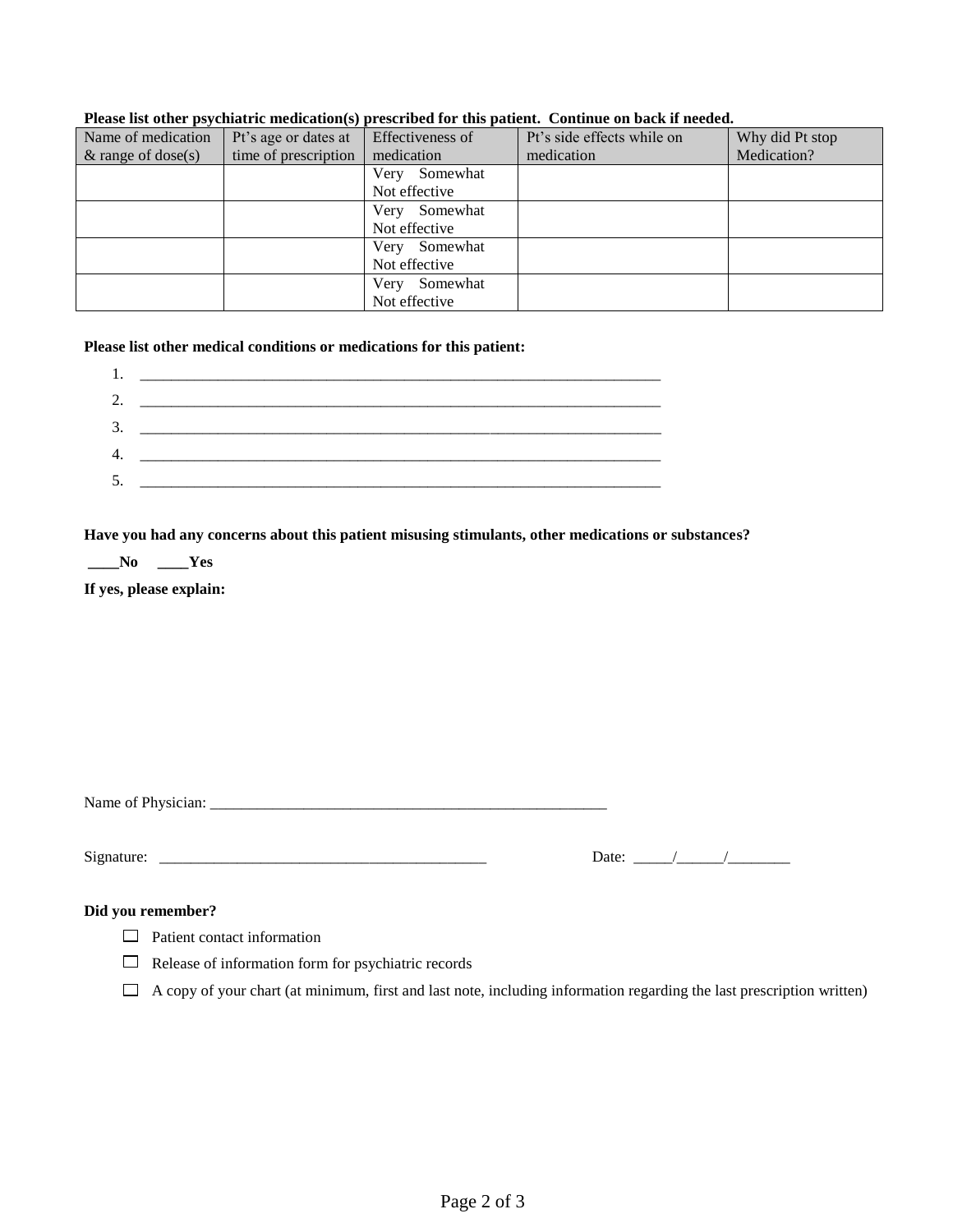| Name of medication    | Pt's age or dates at | Effectiveness of | Pt's side effects while on | Why did Pt stop |
|-----------------------|----------------------|------------------|----------------------------|-----------------|
| $\&$ range of dose(s) | time of prescription | medication       | medication                 | Medication?     |
|                       |                      | Somewhat<br>Very |                            |                 |
|                       |                      | Not effective    |                            |                 |
|                       |                      | Somewhat<br>Very |                            |                 |
|                       |                      | Not effective    |                            |                 |
|                       |                      | Somewhat<br>Very |                            |                 |
|                       |                      | Not effective    |                            |                 |
|                       |                      | Somewhat<br>Very |                            |                 |
|                       |                      | Not effective    |                            |                 |

#### **Please list other psychiatric medication(s) prescribed for this patient. Continue on back if needed.**

# **Please list other medical conditions or medications for this patient:**

|    | the control of the control of the control of the control of the control of the control of the control of the control of the control of the control of the control of the control of the control of the control of the control |  |
|----|-------------------------------------------------------------------------------------------------------------------------------------------------------------------------------------------------------------------------------|--|
|    |                                                                                                                                                                                                                               |  |
| 3. |                                                                                                                                                                                                                               |  |
|    |                                                                                                                                                                                                                               |  |
|    |                                                                                                                                                                                                                               |  |
|    |                                                                                                                                                                                                                               |  |

## **Have you had any concerns about this patient misusing stimulants, other medications or substances?**

**\_\_\_\_No \_\_\_\_Yes**

**If yes, please explain:** 

Name of Physician: \_\_\_\_\_\_\_\_\_\_\_\_\_\_\_\_\_\_\_\_\_\_\_\_\_\_\_\_\_\_\_\_\_\_\_\_\_\_\_\_\_\_\_\_\_\_\_\_\_\_\_

Signature: \_\_\_\_\_\_\_\_\_\_\_\_\_\_\_\_\_\_\_\_\_\_\_\_\_\_\_\_\_\_\_\_\_\_\_\_\_\_\_\_\_\_ Date: \_\_\_\_\_/\_\_\_\_\_\_/\_\_\_\_\_\_\_\_

# **Did you remember?**

Patient contact information

 $\Box$  Release of information form for psychiatric records

 $\Box$  A copy of your chart (at minimum, first and last note, including information regarding the last prescription written)